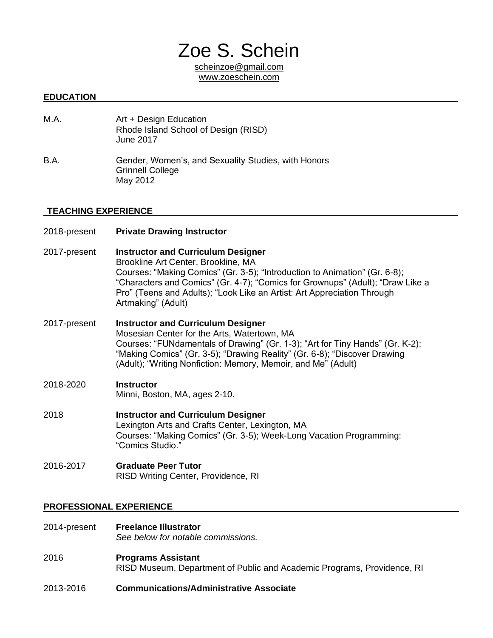# Zoe S. Schein

[scheinzoe@gmail.com](mailto:pulverman@utexas.edu) www.zoeschein.com

### **EDUCATION**

- M.A. **Art + Design Education** Rhode Island School of Design (RISD) June 2017
- B.A. Gender, Women's, and Sexuality Studies, with Honors Grinnell College May 2012

#### **TEACHING EXPERIENCE**

2018-present **Private Drawing Instructor** 2017-present **Instructor and Curriculum Designer** Brookline Art Center, Brookline, MA Courses: "Making Comics" (Gr. 3-5); "Introduction to Animation" (Gr. 6-8); "Characters and Comics" (Gr. 4-7); "Comics for Grownups" (Adult); "Draw Like a Pro" (Teens and Adults); "Look Like an Artist: Art Appreciation Through Artmaking" (Adult) 2017-present **Instructor and Curriculum Designer** Mosesian Center for the Arts, Watertown, MA Courses: "FUNdamentals of Drawing" (Gr. 1-3); "Art for Tiny Hands" (Gr. K-2); "Making Comics" (Gr. 3-5); "Drawing Reality" (Gr. 6-8); "Discover Drawing (Adult); "Writing Nonfiction: Memory, Memoir, and Me" (Adult) 2018-2020 **Instructor**  Minni, Boston, MA, ages 2-10. 2018 **Instructor and Curriculum Designer** Lexington Arts and Crafts Center, Lexington, MA Courses: "Making Comics" (Gr. 3-5); Week-Long Vacation Programming: "Comics Studio." 2016-2017 **Graduate Peer Tutor**

### RISD Writing Center, Providence, RI

### **PROFESSIONAL EXPERIENCE**

- 2014-present **Freelance Illustrator**  *See below for notable commissions.*
- 2016 **Programs Assistant** RISD Museum, Department of Public and Academic Programs, Providence, RI
- 2013-2016 **Communications/Administrative Associate**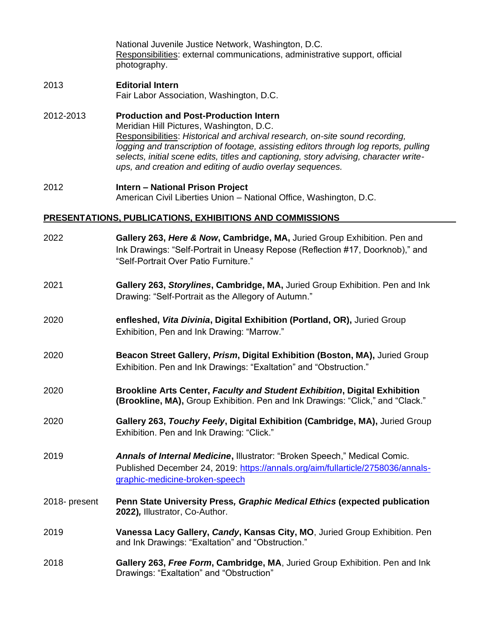National Juvenile Justice Network, Washington, D.C. Responsibilities: external communications, administrative support, official photography.

## 2013 **Editorial Intern**

Fair Labor Association, Washington, D.C.

- 2012-2013 **Production and Post-Production Intern** Meridian Hill Pictures, Washington, D.C. Responsibilities: *Historical and archival research, on-site sound recording, logging and transcription of footage, assisting editors through log reports, pulling selects, initial scene edits, titles and captioning, story advising, character writeups, and creation and editing of audio overlay sequences.*
- 2012 **Intern – National Prison Project** American Civil Liberties Union – National Office, Washington, D.C.

### **PRESENTATIONS, PUBLICATIONS, EXHIBITIONS AND COMMISSIONS**

| 2022          | Gallery 263, Here & Now, Cambridge, MA, Juried Group Exhibition. Pen and<br>Ink Drawings: "Self-Portrait in Uneasy Repose (Reflection #17, Doorknob)," and<br>"Self-Portrait Over Patio Furniture." |
|---------------|-----------------------------------------------------------------------------------------------------------------------------------------------------------------------------------------------------|
| 2021          | Gallery 263, Storylines, Cambridge, MA, Juried Group Exhibition. Pen and Ink<br>Drawing: "Self-Portrait as the Allegory of Autumn."                                                                 |
| 2020          | enfleshed, Vita Divinia, Digital Exhibition (Portland, OR), Juried Group<br>Exhibition, Pen and Ink Drawing: "Marrow."                                                                              |
| 2020          | Beacon Street Gallery, Prism, Digital Exhibition (Boston, MA), Juried Group<br>Exhibition. Pen and Ink Drawings: "Exaltation" and "Obstruction."                                                    |
| 2020          | Brookline Arts Center, Faculty and Student Exhibition, Digital Exhibition<br>(Brookline, MA), Group Exhibition. Pen and Ink Drawings: "Click," and "Clack."                                         |
| 2020          | Gallery 263, Touchy Feely, Digital Exhibition (Cambridge, MA), Juried Group<br>Exhibition. Pen and Ink Drawing: "Click."                                                                            |
| 2019          | Annals of Internal Medicine, Illustrator: "Broken Speech," Medical Comic.<br>Published December 24, 2019: https://annals.org/aim/fullarticle/2758036/annals-<br>graphic-medicine-broken-speech      |
| 2018- present | Penn State University Press, Graphic Medical Ethics (expected publication<br>2022), Illustrator, Co-Author.                                                                                         |
| 2019          | Vanessa Lacy Gallery, Candy, Kansas City, MO, Juried Group Exhibition. Pen<br>and Ink Drawings: "Exaltation" and "Obstruction."                                                                     |
| 2018          | Gallery 263, Free Form, Cambridge, MA, Juried Group Exhibition. Pen and Ink<br>Drawings: "Exaltation" and "Obstruction"                                                                             |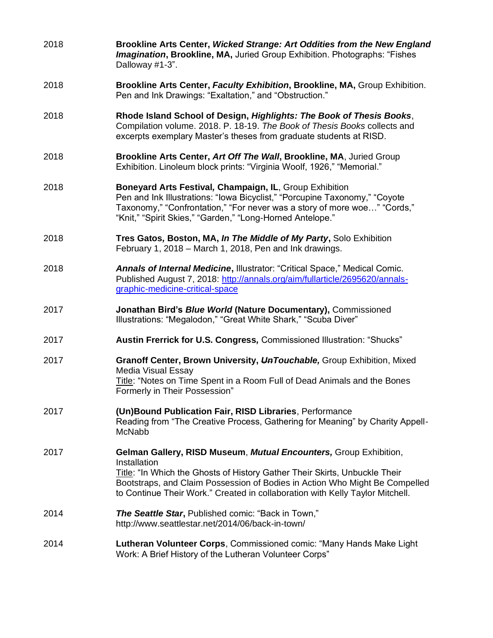2018 **Brookline Arts Center,** *Wicked Strange: Art Oddities from the New England Imagination***, Brookline, MA,** Juried Group Exhibition. Photographs: "Fishes Dalloway #1-3". 2018 **Brookline Arts Center,** *Faculty Exhibition***, Brookline, MA,** Group Exhibition. Pen and Ink Drawings: "Exaltation," and "Obstruction." 2018 **Rhode Island School of Design,** *Highlights: The Book of Thesis Books*, Compilation volume. 2018. P. 18-19. *The Book of Thesis Books* collects and excerpts exemplary Master's theses from graduate students at RISD. 2018 **Brookline Arts Center,** *Art Off The Wall***, Brookline, MA**, Juried Group Exhibition. Linoleum block prints: "Virginia Woolf, 1926," "Memorial." 2018 **Boneyard Arts Festival***,* **Champaign, IL**, Group Exhibition Pen and Ink Illustrations: "Iowa Bicyclist," "Porcupine Taxonomy," "Coyote Taxonomy," "Confrontation," "For never was a story of more woe…" "Cords," "Knit," "Spirit Skies," "Garden," "Long-Horned Antelope." 2018 **Tres Gatos***,* **Boston, MA,** *In The Middle of My Party***,** Solo Exhibition February 1, 2018 – March 1, 2018, Pen and Ink drawings. 2018 *Annals of Internal Medicine***,** Illustrator: "Critical Space," Medical Comic. Published August 7, 2018: [http://annals.org/aim/fullarticle/2695620/annals](http://annals.org/aim/fullarticle/2695620/annals-graphic-medicine-critical-space)[graphic-medicine-critical-space](http://annals.org/aim/fullarticle/2695620/annals-graphic-medicine-critical-space) 2017 **Jonathan Bird's** *Blue World* **(Nature Documentary),** Commissioned Illustrations: "Megalodon," "Great White Shark," "Scuba Diver" 2017 **Austin Frerrick for U.S. Congress***,* Commissioned Illustration: "Shucks" 2017 **Granoff Center, Brown University,** *UnTouchable,* Group Exhibition, Mixed Media Visual Essay Title: "Notes on Time Spent in a Room Full of Dead Animals and the Bones Formerly in Their Possession" 2017 **(Un)Bound Publication Fair, RISD Libraries**, Performance Reading from "The Creative Process, Gathering for Meaning" by Charity Appell-McNabb 2017 **Gelman Gallery, RISD Museum**, *Mutual Encounters,* Group Exhibition, **Installation** Title: "In Which the Ghosts of History Gather Their Skirts, Unbuckle Their Bootstraps, and Claim Possession of Bodies in Action Who Might Be Compelled to Continue Their Work." Created in collaboration with Kelly Taylor Mitchell. 2014 *The Seattle Star***,** Published comic: "Back in Town," http://www.seattlestar.net/2014/06/back-in-town/ 2014 **Lutheran Volunteer Corps**, Commissioned comic: "Many Hands Make Light Work: A Brief History of the Lutheran Volunteer Corps"